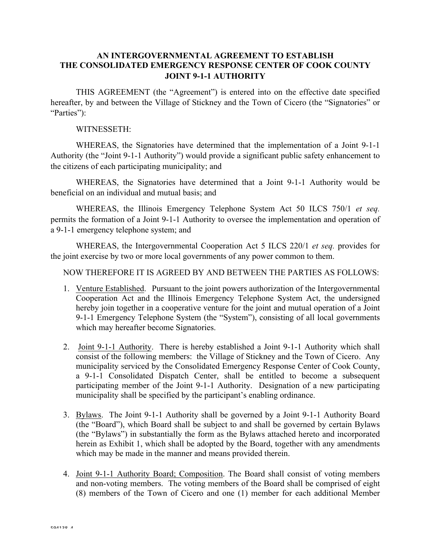## **AN INTERGOVERNMENTAL AGREEMENT TO ESTABLISH THE CONSOLIDATED EMERGENCY RESPONSE CENTER OF COOK COUNTY JOINT 9-1-1 AUTHORITY**

THIS AGREEMENT (the "Agreement") is entered into on the effective date specified hereafter, by and between the Village of Stickney and the Town of Cicero (the "Signatories" or "Parties":

## WITNESSETH:

WHEREAS, the Signatories have determined that the implementation of a Joint 9-1-1 Authority (the "Joint 9-1-1 Authority") would provide a significant public safety enhancement to the citizens of each participating municipality; and

WHEREAS, the Signatories have determined that a Joint 9-1-1 Authority would be beneficial on an individual and mutual basis; and

WHEREAS, the Illinois Emergency Telephone System Act 50 ILCS 750/1 *et seq.* permits the formation of a Joint 9-1-1 Authority to oversee the implementation and operation of a 9-1-1 emergency telephone system; and

WHEREAS, the Intergovernmental Cooperation Act 5 ILCS 220/1 *et seq.* provides for the joint exercise by two or more local governments of any power common to them.

NOW THEREFORE IT IS AGREED BY AND BETWEEN THE PARTIES AS FOLLOWS:

- 1. Venture Established. Pursuant to the joint powers authorization of the Intergovernmental Cooperation Act and the Illinois Emergency Telephone System Act, the undersigned hereby join together in a cooperative venture for the joint and mutual operation of a Joint 9-1-1 Emergency Telephone System (the "System"), consisting of all local governments which may hereafter become Signatories.
- 2. Joint 9-1-1 Authority. There is hereby established a Joint 9-1-1 Authority which shall consist of the following members: the Village of Stickney and the Town of Cicero. Any municipality serviced by the Consolidated Emergency Response Center of Cook County, a 9-1-1 Consolidated Dispatch Center, shall be entitled to become a subsequent participating member of the Joint 9-1-1 Authority. Designation of a new participating municipality shall be specified by the participant's enabling ordinance.
- 3. Bylaws. The Joint 9-1-1 Authority shall be governed by a Joint 9-1-1 Authority Board (the "Board"), which Board shall be subject to and shall be governed by certain Bylaws (the "Bylaws") in substantially the form as the Bylaws attached hereto and incorporated herein as Exhibit 1, which shall be adopted by the Board, together with any amendments which may be made in the manner and means provided therein.
- 4. Joint 9-1-1 Authority Board; Composition. The Board shall consist of voting members and non-voting members. The voting members of the Board shall be comprised of eight (8) members of the Town of Cicero and one (1) member for each additional Member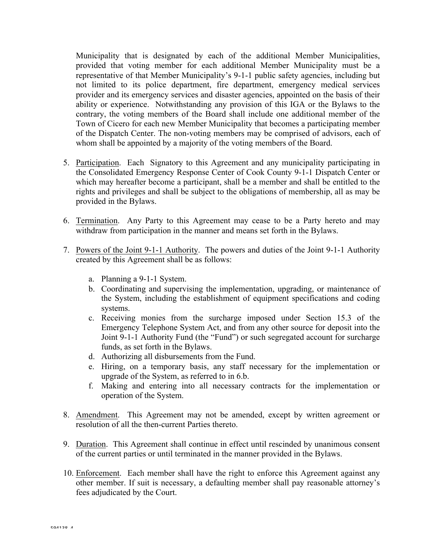Municipality that is designated by each of the additional Member Municipalities, provided that voting member for each additional Member Municipality must be a representative of that Member Municipality's 9-1-1 public safety agencies, including but not limited to its police department, fire department, emergency medical services provider and its emergency services and disaster agencies, appointed on the basis of their ability or experience. Notwithstanding any provision of this IGA or the Bylaws to the contrary, the voting members of the Board shall include one additional member of the Town of Cicero for each new Member Municipality that becomes a participating member of the Dispatch Center. The non-voting members may be comprised of advisors, each of whom shall be appointed by a majority of the voting members of the Board.

- 5. Participation. Each Signatory to this Agreement and any municipality participating in the Consolidated Emergency Response Center of Cook County 9-1-1 Dispatch Center or which may hereafter become a participant, shall be a member and shall be entitled to the rights and privileges and shall be subject to the obligations of membership, all as may be provided in the Bylaws.
- 6. Termination. Any Party to this Agreement may cease to be a Party hereto and may withdraw from participation in the manner and means set forth in the Bylaws.
- 7. Powers of the Joint 9-1-1 Authority. The powers and duties of the Joint 9-1-1 Authority created by this Agreement shall be as follows:
	- a. Planning a 9-1-1 System.
	- b. Coordinating and supervising the implementation, upgrading, or maintenance of the System, including the establishment of equipment specifications and coding systems.
	- c. Receiving monies from the surcharge imposed under Section 15.3 of the Emergency Telephone System Act, and from any other source for deposit into the Joint 9-1-1 Authority Fund (the "Fund") or such segregated account for surcharge funds, as set forth in the Bylaws.
	- d. Authorizing all disbursements from the Fund.
	- e. Hiring, on a temporary basis, any staff necessary for the implementation or upgrade of the System, as referred to in 6.b.
	- f. Making and entering into all necessary contracts for the implementation or operation of the System.
- 8. Amendment. This Agreement may not be amended, except by written agreement or resolution of all the then-current Parties thereto.
- 9. Duration. This Agreement shall continue in effect until rescinded by unanimous consent of the current parties or until terminated in the manner provided in the Bylaws.
- 10. Enforcement. Each member shall have the right to enforce this Agreement against any other member. If suit is necessary, a defaulting member shall pay reasonable attorney's fees adjudicated by the Court.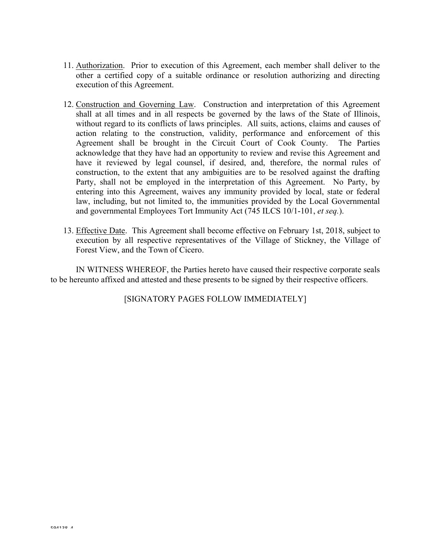- 11. Authorization. Prior to execution of this Agreement, each member shall deliver to the other a certified copy of a suitable ordinance or resolution authorizing and directing execution of this Agreement.
- 12. Construction and Governing Law. Construction and interpretation of this Agreement shall at all times and in all respects be governed by the laws of the State of Illinois, without regard to its conflicts of laws principles. All suits, actions, claims and causes of action relating to the construction, validity, performance and enforcement of this Agreement shall be brought in the Circuit Court of Cook County. The Parties acknowledge that they have had an opportunity to review and revise this Agreement and have it reviewed by legal counsel, if desired, and, therefore, the normal rules of construction, to the extent that any ambiguities are to be resolved against the drafting Party, shall not be employed in the interpretation of this Agreement. No Party, by entering into this Agreement, waives any immunity provided by local, state or federal law, including, but not limited to, the immunities provided by the Local Governmental and governmental Employees Tort Immunity Act (745 ILCS 10/1-101, *et seq.*).
- 13. Effective Date. This Agreement shall become effective on February 1st, 2018, subject to execution by all respective representatives of the Village of Stickney, the Village of Forest View, and the Town of Cicero.

IN WITNESS WHEREOF, the Parties hereto have caused their respective corporate seals to be hereunto affixed and attested and these presents to be signed by their respective officers.

[SIGNATORY PAGES FOLLOW IMMEDIATELY]